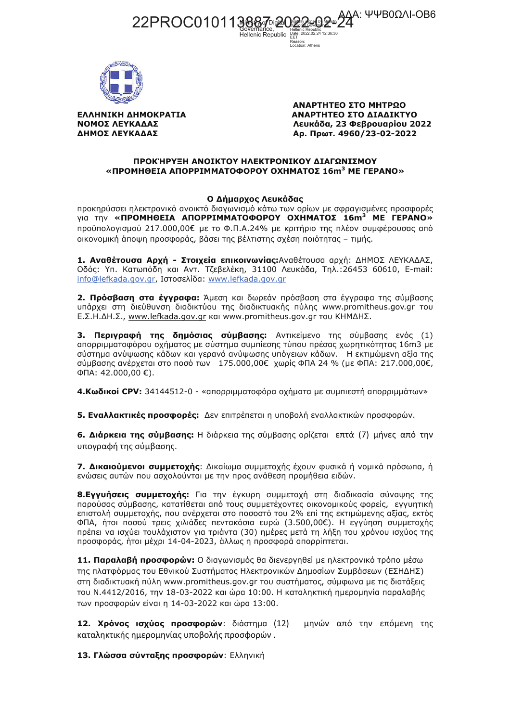AAA: ΨΨΒ0ΩΛΙ-ΟΒ6 22PROC010113887



ΕΛΛΗΝΙΚΗ ΔΗΜΟΚΡΑΤΙΑ ΝΟΜΟΣ ΛΕΥΚΑΔΑΣ ΔΗΜΟΣ ΛΕΥΚΑΔΑΣ

ΑΝΑΡΤΗΤΕΟ ΣΤΟ ΜΗΤΡΩΟ ΑΝΑΡΤΗΤΕΟ ΣΤΟ ΔΙΑΔΙΚΤΥΟ Λευκάδα, 23 Φεβρουαρίου 2022 Αρ. Πρωτ. 4960/23-02-2022

## ΠΡΟΚΉΡΥΞΗ ΑΝΟΙΚΤΟΥ ΗΛΕΚΤΡΟΝΙΚΟΥ ΔΙΑΓΩΝΙΣΜΟΥ «ПРОМНОЕІА АПОРРІММАТОФОРОУ ОХНМАТО∑  $16\mathrm{m}^3$  ME ГЕРАНО»

Hellenic Republic

FFT Reason:<br>Location: Athens

## Ο Δήμαρχος Λευκάδας

προκηρύσσει ηλεκτρονικό ανοικτό διαγωνισμό κάτω των ορίων με σφραγισμένες προσφορές VIG TIV «ПРОМНОЕІА АПОРРІММАТОФОРОҮ ОХНМАТОΣ 16m<sup>3</sup> ME ГЕРАНО» προϋπολογισμού 217.000,00€ με το Φ.Π.Α.24% με κριτήριο της πλέον συμφέρουσας από οικονομική άποψη προσφοράς, βάσει της βέλτιστης σχέση ποιότητας - τιμής.

1. Αναθέτουσα Αρχή - Στοιχεία επικοινωνίας: Αναθέτουσα αρχή: ΔΗΜΟΣ ΛΕΥΚΑΔΑΣ, Οδός: Υπ. Κατωπόδη και Αντ. Τζεβελέκη, 31100 Λευκάδα, Τηλ.:26453 60610, E-mail: info@lefkada.gov.gr, Ιστοσελίδα: www.lefkada.gov.gr

2. Πρόσβαση στα έννραφα: Άμεση και δωρεάν πρόσβαση στα έννραφα της σύμβασης υπάρχει στη διεύθυνση διαδικτύου της διαδικτυακής πύλης www.promitheus.gov.gr του Ε.Σ.Η.ΔΗ.Σ., www.lefkada.gov.gr και www.promitheus.gov.gr του ΚΗΜΔΗΣ.

3. Περιγραφή της δημόσιας σύμβασης: Αντικείμενο της σύμβασης ενός (1) αποροιμματοφόρου οχήματος με σύστημα συμπίεσης τύπου πρέσας χωρητικότητας 16m3 με σύστημα ανύψωσης κάδων και γερανό ανύψωσης υπόγειων κάδων. Η εκτιμώμενη αξία της σύμβασης ανέρχεται στο ποσό των 175.000,00€ χωρίς ΦΠΑ 24 % (με ΦΠΑ: 217.000,00€,  $\Phi$ ПА: 42.000,00 €).

4. Κωδικοί CPV: 34144512-0 - «απορριμματοφόρα οχήματα με συμπιεστή απορριμμάτων»

5. Εναλλακτικές προσφορές: Δεν επιτρέπεται η υποβολή εναλλακτικών προσφορών.

6. Διάρκεια της σύμβασης: Η διάρκεια της σύμβασης ορίζεται επτά (7) μήνες από την υπονραφή της σύμβασης.

7. Δικαιούμενοι συμμετοχής: Δικαίωμα συμμετοχής έχουν φυσικά ή νομικά πρόσωπα, ή ενώσεις αυτών που ασχολούνται με την προς ανάθεση προμήθεια ειδών.

8. Εγγυήσεις συμμετοχής: Για την έγκυρη συμμετοχή στη διαδικασία σύναψης της παρούσας σύμβασης, κατατίθεται από τους συμμετέχοντες οικονομικούς φορείς, εγγυητική επιστολή συμμετοχής, που ανέρχεται στο ποσοστό του 2% επί της εκτιμώμενης αξίας, εκτός ΦΠΑ, ήτοι ποσού τρεις χιλιάδες πεντακόσια ευρώ (3.500,00€). Η εγγύηση συμμετοχής πρέπει να ισχύει τουλάχιστον για τριάντα (30) ημέρες μετά τη λήξη του χρόνου ισχύος της προσφοράς, ήτοι μέχρι 14-04-2023, άλλως η προσφορά απορρίπτεται.

11. Παραλαβή προσφορών: Ο διαγωνισμός θα διενεργηθεί με ηλεκτρονικό τρόπο μέσω της πλατφόρμας του Εθνικού Συστήματος Ηλεκτρονικών Δημοσίων Συμβάσεων (ΕΣΗΔΗΣ) στη διαδικτυακή πύλη www.promitheus.gov.gr του συστήματος, σύμφωνα με τις διατάξεις του Ν.4412/2016, την 18-03-2022 και ώρα 10:00. Η καταληκτική ημερομηνία παραλαβής των προσφορών είναι η 14-03-2022 και ώρα 13:00.

12. Χρόνος ισχύος προσφορών: διάστημα (12) μηνών από την επόμενη της καταληκτικής ημερομηνίας υποβολής προσφορών.

13. Γλώσσα σύνταξης προσφορών: Ελληνική